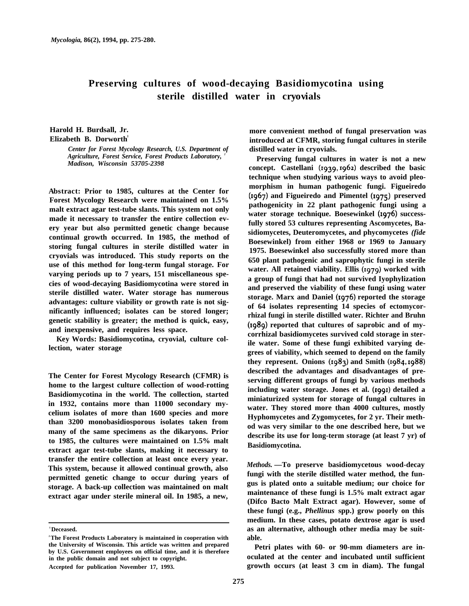## **Preserving cultures of wood-decaying Basidiomycotina using sterile distilled water in cryovials**

**Harold H. Burdsall, Jr. Elizabeth B. Dorworth** 

> *Center for Forest Mycology Research, U.S. Department of Agriculture, Forest Service, Forest Products Laboratory, <sup>2</sup> Madison, Wisconsin 53705-2398*

**Abstract: Prior to 1985, cultures at the Center for Forest Mycology Research were maintained on 1.5% malt extract agar test-tube slants. This system not only made it necessary to transfer the entire collection every year but also permitted genetic change because continual growth occurred. In 1985, the method of storing fungal cultures in sterile distilled water in cryovials was introduced. This study reports on the use of this method for long-term fungal storage. For varying periods up to 7 years, 151 miscellaneous species of wood-decaying Basidiomycotina were stored in sterile distilled water. Water storage has numerous advantages: culture viability or growth rate is not significantly influenced; isolates can be stored longer; genetic stability is greater; the method is quick, easy, and inexpensive, and requires less space.**

**Key Words: Basidiomycotina, cryovial, culture collection, water storage**

**The Center for Forest Mycology Research (CFMR) is home to the largest culture collection of wood-rotting Basidiomycotina in the world. The collection, started in 1932, contains more than 11000 secondary mycelium isolates of more than 1600 species and more than 3200 monobasidiosporous isolates taken from many of the same specimens as the dikaryons. Prior to 1985, the cultures were maintained on 1.5% malt extract agar test-tube slants, making it necessary to transfer the entire collection at least once every year. This system, because it allowed continual growth, also permitted genetic change to occur during years of storage. A back-up collection was maintained on malt extract agar under sterile mineral oil. In 1985, a new,**

**more convenient method of fungal preservation was introduced at CFMR, storing fungal cultures in sterile distilled water in cryovials.**

**Preserving fungal cultures in water is not a new** concept. Castellani (1939, 1962) described the basic **technique when studying various ways to avoid pleomorphism in human pathogenic fungi. Figueiredo** (1967) and Figueiredo and Pimentel (1975) preserved **pathogenicity in 22 plant pathogenic fungi using a** water storage technique. Boesewinkel (1976) success**fully stored 53 cultures representing Ascomycetes, Basidiomycetes, Deuteromycetes, and phycomycetes** *(fide* **Boesewinkel) from either 1968 or 1969 to January 1975. Boesewinkel also successfully stored more than 650 plant pathogenic and saprophytic fungi in sterile** water. All retained viability. Ellis (1979) worked with **a group of fungi that had not survived Iyophylization and preserved the viability of these fungi using water** storage. Marx and Daniel (1976) reported the storage **of 64 isolates representing 14 species of ectomycorrhizal fungi in sterile distilled water. Richter and Bruhn** (1989) reported that cultures of saprobic and of my**corrhizal basidiomycetes survived cold storage in sterile water. Some of these fungi exhibited varying degrees of viability, which seemed to depend on the family** they represent. Onions (1983) and Smith (1984,1988) **described the advantages and disadvantages of preserving different groups of fungi by various methods including water storage. Jones et al. (1991) detailed a miniaturized system for storage of fungal cultures in water. They stored more than 4000 cultures, mostly Hyphomycetes and Zygomycetes, for 2 yr. Their method was very similar to the one described here, but we describe its use for long-term storage (at least 7 yr) of Basidiomycotina.**

*Methods.* **—To preserve basidiomycetous wood-decay fungi with the sterile distilled water method, the fungus is plated onto a suitable medium; our choice for maintenance of these fungi is 1.5% malt extract agar (Difco Bacto Malt Extract agar). However, some of these fungi (e.g.,** *Phellinus* **spp.) grow poorly on this medium. In these cases, potato dextrose agar is used as an alternative, although other media may be suitable.**

**Petri plates with 60- or 90-mm diameters are inoculated at the center and incubated until sufficient growth occurs (at least 3 cm in diam). The fungal**

**<sup>1</sup> Deceased.**

**<sup>2</sup> The Forest Products Laboratory is maintained in cooperation with the University of Wisconsin. This article was written and prepared by U.S. Government employees on official time, and it is therefore in the public domain and not subject to copyright. Accepted for publication November 17, 1993.**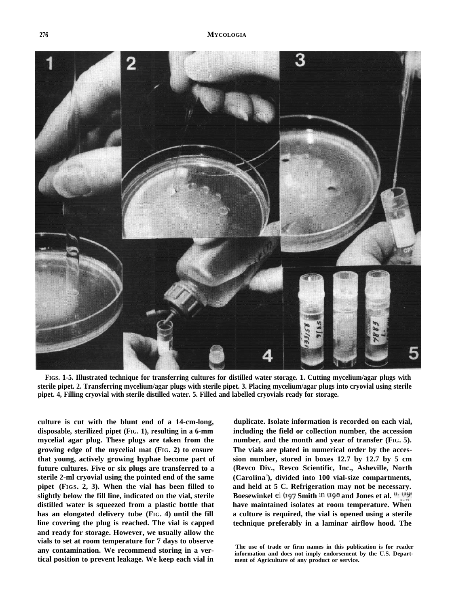

**FIGS. 1-5. Illustrated technique for transferring cultures for distilled water storage. 1. Cutting mycelium/agar plugs with sterile pipet. 2. Transferring mycelium/agar plugs with sterile pipet. 3. Placing mycelium/agar plugs into cryovial using sterile pipet. 4, Filling cryovial with sterile distilled water. 5. Filled and labelled cryovials ready for storage.**

**culture is cut with the blunt end of a 14-cm-long, disposable, sterilized pipet (FIG. 1), resulting in a 6-mm mycelial agar plug. These plugs are taken from the growing edge of the mycelial mat (FIG. 2) to ensure that young, actively growing hyphae become part of future cultures. Five or six plugs are transferred to a sterile 2-ml cryovial using the pointed end of the same pipet (FIGS. 2, 3). When the vial has been filled to slightly below the fill line, indicated on the vial, sterile distilled water is squeezed from a plastic bottle that has an elongated delivery tube (FIG. 4) until the fill line covering the plug is reached. The vial is capped and ready for storage. However, we usually allow the vials to set at room temperature for 7 days to observe any contamination. We recommend storing in a vertical position to prevent leakage. We keep each vial in**

**duplicate. Isolate information is recorded on each vial, including the field or collection number, the accession number, and the month and year of transfer (FIG. 5). The vials are plated in numerical order by the accession number, stored in boxes 12.7 by 12.7 by 5 cm (Revco Div., Revco Scientific, Inc., Asheville, North (Carolina3 ), divided into 100 vial-size compartments, and held at 5 C. Refrigeration may not be necessary.** Boesewinkel el (197 Smith <sup>th (198</sup> and Jones et al. <sup>II. (19)</sup> **have maintained isolates at room temperature. When a culture is required, the vial is opened using a sterile technique preferably in a laminar airflow hood. The**

**The use of trade or firm names in this publication is for reader information and does not imply endorsement by the U.S. Department of Agriculture of any product or service.**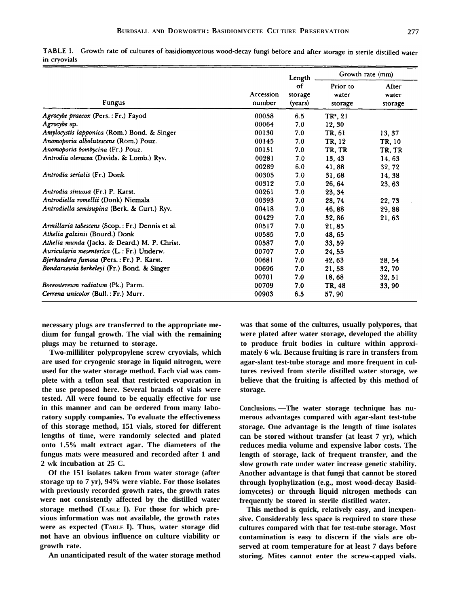|              | TABLE I. Growth rate of cultures of basidiomycetous wood-decay fungi before and after storage in sterile distilled water |  |  |  |  |  |
|--------------|--------------------------------------------------------------------------------------------------------------------------|--|--|--|--|--|
| in cryovials |                                                                                                                          |  |  |  |  |  |

|                                                 |                     | Length                   | Growth rate (mm)             |                           |  |
|-------------------------------------------------|---------------------|--------------------------|------------------------------|---------------------------|--|
| <b>Fungus</b>                                   | Accession<br>number | οf<br>storage<br>(years) | Prior to<br>water<br>storage | After<br>water<br>storage |  |
| Agrocybe praecox (Pers.: Fr.) Fayod             | 00058               | 6.5                      | $TR^2$ , 21                  |                           |  |
| Agrocybe sp.                                    | 00064               | 7.0                      | 12.30                        |                           |  |
| Amylocystis lapponica (Rom.) Bond. & Singer     | 00130               | 7.0                      | TR. 61                       | 13, 37                    |  |
| Anomoporia albolutescens (Rom.) Pouz.           | 00145               | 7.0                      | TR, 12                       | TR, 10                    |  |
| Anomoporia bombycina (Fr.) Pouz.                | 00151               | 7.0                      | TR, TR                       | TR, TR                    |  |
| Antrodia oleracea (Davids. & Lomb.) Ryv.        | 00281               | 7.0                      | 13, 43                       | 14, 63                    |  |
|                                                 | 00289               | 6.0                      | 41,88                        | 32, 72                    |  |
| Antrodia serialis (Fr.) Donk                    | 00305               | 7.0                      | 31,68                        | 14, 38                    |  |
|                                                 | 00312               | 7.0                      | 26, 64                       | 23, 63                    |  |
| Antrodia sinuosa (Fr.) P. Karst.                | 00261               | 7.0                      | 23, 34                       |                           |  |
| Antrodiella romellii (Donk) Niemala             | 00393               | 7.0                      | 28, 74                       | 22.73                     |  |
| Antrodiella semisupina (Berk. & Curt.) Ryv.     | 00418               | 7.0                      | 46, 88                       | 29,88                     |  |
|                                                 | 00429               | 7.0                      | 32,86                        | 21,63                     |  |
| Armillaria tabescens (Scop.: Fr.) Dennis et al. | 00517               | 7.0                      | 21,85                        |                           |  |
| Athelia galzinii (Bourd.) Donk                  | 00585               | 7.0                      | 48, 65                       |                           |  |
| Athelia munda (Jacks. & Deard.) M. P. Christ.   | 00587               | 7.0                      | 33, 59                       |                           |  |
| Auricularia mesenterica (L.: Fr.) Underw.       | 00707               | 7.0                      | 24, 55                       |                           |  |
| Bjerkandera fumosa (Pers.: Fr.) P. Karst.       | 00681               | 7.0                      | 42, 63                       | 28, 54                    |  |
| Bondarzewia berkeleyi (Fr.) Bond. & Singer      | 00696               | 7.0                      | 21,58                        | 32, 70                    |  |
|                                                 | 00701               | 7.0                      | 18,68                        | 32, 51                    |  |
| Boreostereum radiatum (Pk.) Parm.               | 00709               | 7.0                      | TR. 48                       | 33, 90                    |  |
| Cerrena unicolor (Bull.: Fr.) Murr.             | 00903               | 6.5                      | 57,90                        |                           |  |

**necessary plugs are transferred to the appropriate medium for fungal growth. The vial with the remaining plugs may be returned to storage.**

**Two-milliliter polypropylene screw cryovials, which are used for cryogenic storage in liquid nitrogen, were used for the water storage method. Each vial was complete with a teflon seal that restricted evaporation in the use proposed here. Several brands of vials were tested. All were found to be equally effective for use in this manner and can be ordered from many laboratory supply companies. To evaluate the effectiveness of this storage method, 151 vials, stored for different lengths of time, were randomly selected and plated onto 1.5% malt extract agar. The diameters of the fungus mats were measured and recorded after 1 and 2 wk incubation at 25 C.**

**Of the 151 isolates taken from water storage (after storage up to 7 yr), 94% were viable. For those isolates with previously recorded growth rates, the growth rates were not consistently affected by the distilled water storage method (TABLE I). For those for which previous information was not available, the growth rates were as expected (TABLE I). Thus, water storage did not have an obvious influence on culture viability or growth rate.**

**An unanticipated result of the water storage method**

**was that some of the cultures, usually polypores, that were plated after water storage, developed the ability to produce fruit bodies in culture within approximately 6 wk. Because fruiting is rare in transfers from agar-slant test-tube storage and more frequent in cultures revived from sterile distilled water storage, we believe that the fruiting is affected by this method of storage.**

**Conclusions. —The water storage technique has numerous advantages compared with agar-slant test-tube storage. One advantage is the length of time isolates can be stored without transfer (at least 7 yr), which reduces media volume and expensive labor costs. The length of storage, lack of frequent transfer, and the slow growth rate under water increase genetic stability. Another advantage is that fungi that cannot be stored through lyophylization (e.g., most wood-decay Basidiomycetes) or through liquid nitrogen methods can frequently be stored in sterile distilled water.**

**This method is quick, relatively easy, and inexpensive. Considerably less space is required to store these cultures compared with that for test-tube storage. Most contamination is easy to discern if the vials are observed at room temperature for at least 7 days before storing. Mites cannot enter the screw-capped vials.**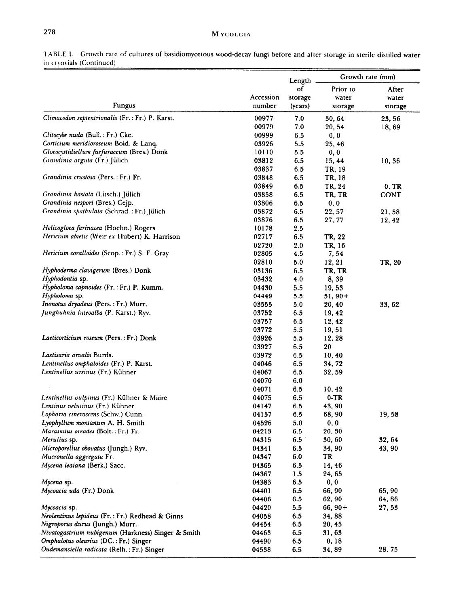## M YCOLGIA

|                                                                               |                | Length     | Growth rate (mm) |             |  |
|-------------------------------------------------------------------------------|----------------|------------|------------------|-------------|--|
|                                                                               |                | of         | Prior to         | After       |  |
|                                                                               | Accession      | storage    | water            | water       |  |
| Fungus                                                                        | number         | (years)    | storage          | storage     |  |
| Climacodon septentrionalis (Fr.: Fr.) P. Karst.                               | 00977          | 7.0        | 30, 64           | 23, 56      |  |
|                                                                               | 00979          | 7.0        | 20, 54           | 18,69       |  |
| Clitocybe nuda (Bull.: Fr.) Cke.                                              | 00999          | $6.5\,$    | 0, 0             |             |  |
| Corticium meridioroseum Boid. & Lanq.                                         | 03926          | 5.5        | 25, 46           |             |  |
| Gloeocystidiellum furfuraceum (Bres.) Donk                                    | 10110          | $5.5\,$    | 0, 0             |             |  |
| Grandinia arguta (Fr.) Jülich                                                 | 03812          | 6.5        | 15, 44           | 10, 36      |  |
|                                                                               | 03837          | 6.5        | TR, 19           |             |  |
| Grandinia crustosa (Pers.: Fr.) Fr.                                           | 03848          | 6.5        | TR, 18           |             |  |
|                                                                               | 03849          | 6.5        | TR, 24           | 0, TR       |  |
| Grandinia hastata (Litsch.) Jülich                                            | 03858          | 6.5        | TR, TR           | <b>CONT</b> |  |
| Grandinia nespori (Bres.) Cejp.<br>Grandinia spathulata (Schrad.: Fr.) Jülich | 03806<br>03872 | 6.5        | 0, 0<br>22, 57   |             |  |
|                                                                               | 03876          | 6.5<br>6.5 | 27, 77           | 21,58       |  |
| Helicogloea farinacea (Hoehn.) Rogers                                         | 10178          | 2.5        |                  | 12, 42      |  |
| Hericium abietis (Weir ex Hubert) K. Harrison                                 | 02717          | 6.5        | TR, 22           |             |  |
|                                                                               | 02720          | 2.0        | TR, 16           |             |  |
| Hericium coralloides (Scop.: Fr.) S. F. Gray                                  | 02805          | 4.5        | 7,54             |             |  |
|                                                                               | 02810          | 5.0        | 12, 21           | TR, 20      |  |
| Hyphoderma clavigerum (Bres.) Donk                                            | 03136          | 6.5        | TR, TR           |             |  |
| Hyphodontia sp.                                                               | 03432          | 4.0        | 8, 39            |             |  |
| Hypholoma capnoides (Fr.: Fr.) P. Kumm.                                       | 04430          | 5.5        | 19,53            |             |  |
| Hypholoma sp.                                                                 | 04449          | 5.5        | $51,90+$         |             |  |
| Inonotus dryadeus (Pers.: Fr.) Murr.                                          | 03555          | 5.0        | 20, 40           | 33, 62      |  |
| Junghuhnia luteoalba (P. Karst.) Ryv.                                         | 03752          | 6.5        | 19, 42           |             |  |
|                                                                               | 03757          | 6.5        | 12, 42           |             |  |
|                                                                               | 03772          | 5.5        | 19,51            |             |  |
| Laeticorticium roseum (Pers.: Fr.) Donk                                       | 03926          | 5.5        | 12, 28           |             |  |
|                                                                               | 03927          | 6.5        | 20               |             |  |
| Laetisaria arvalis Burds.                                                     | 03972          | 6.5        | 10,40            |             |  |
| Lentinellus omphaloides (Fr.) P. Karst.                                       | 04046          | 6.5        | 34,72            |             |  |
| Lentinellus ursinus (Fr.) Kühner                                              | 04067          | 6.5        | 32, 59           |             |  |
|                                                                               | 04070          | 6.0        |                  |             |  |
|                                                                               | 04071          | 6.5        | 10, 42           |             |  |
| Lentinellus vulpinus (Fr.) Kühner & Maire                                     | 04075          | 6.5        | $0-TR$           |             |  |
| Lentinus velutinus (Fr.) Kühner<br>Lopharia cinerascens (Schw.) Cunn.         | 04147<br>04157 | 6.5<br>6.5 | 43, 90<br>68,90  |             |  |
| Lyophyllum montanum A. H. Smith                                               | 04526          | 5.0        | 0, 0             | 19,58       |  |
| Marasmius oreades (Bolt.: Fr.) Fr.                                            | 04213          | 6.5        | 20, 30           |             |  |
| Merulius sp.                                                                  | 04315          | 6.5        | 30, 60           | 32, 64      |  |
| Microporellus obovatus (Jungh.) Ryv.                                          | 04341          | 6.5        | 34, 90           | 43, 90      |  |
| Mucronella aggregata Fr.                                                      | 04347          | 6.0        | TR               |             |  |
| Mycena leaiana (Berk.) Sacc.                                                  | 04365          | 6.5        | 14,46            |             |  |
|                                                                               | 04367          | 1.5        | 24, 65           |             |  |
| Mycena sp.                                                                    | 04383          | 6.5        | 0, 0             |             |  |
| Mycoacia uda (Fr.) Donk                                                       | 04401          | 6.5        | 66, 90           | 65, 90      |  |
|                                                                               | 04406          | 6.5        | 62, 90           | 64,86       |  |
| Mycoacia sp.                                                                  | 04420          | 5.5        | $66, 90+$        | 27, 53      |  |
| Neolentinus lepideus (Fr.: Fr.) Redhead & Ginns                               | 04058          | 6.5        | 34,88            |             |  |
| Nigroporus durus (Jungh.) Murr.                                               | 04454          | 6.5        | 20, 45           |             |  |
| Nivatogastrium nubigenum (Harkness) Singer & Smith                            | 04463          | 6.5        | 31, 63           |             |  |
| Omphalotus olearius (DC.: Fr.) Singer                                         | 04490          | 6.5        | 0, 18            |             |  |
| Oudemansiella radicata (Relh.: Fr.) Singer                                    | 04538          | 6.5        | 34, 89           | 28, 75      |  |

TABLE I. Growth rate of cultures of basidiomycetous wood-decay fungi before and after storage in sterile distilled water in cryovials (Continued)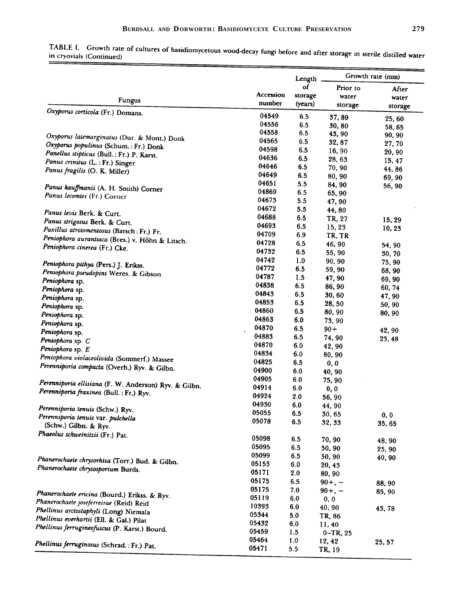|                                                       |                     |                                    | Growth rate (mm)             |                |  |
|-------------------------------------------------------|---------------------|------------------------------------|------------------------------|----------------|--|
| <b>Fungus</b>                                         | Accession<br>number | Length<br>of<br>storage<br>(years) | Prior to<br>water<br>storage | After<br>water |  |
| Oxyporus corticola (Fr.) Domans.                      | 04549               | 6.5                                |                              | storage        |  |
|                                                       | 04556               | 6.5                                | 37,89                        | 25, 60         |  |
|                                                       | 04558               | 6.5                                | 30, 80<br>43, 90             | 58, 65         |  |
| Oxyporus latemarginatus (Dur. & Mont.) Donk           | 04565               | 6.5                                | 32, 87                       | 90, 90         |  |
| Oxyporus populinus (Schum.: Fr.) Donk                 | 04598               | 6.5                                | 16,90                        | 27, 70         |  |
| Panellus stipticus (Bull.: Fr.) P. Karst.             | 04636               | 6.5                                | 28, 63                       | 20, 90         |  |
| Panus crinitus (L.: Fr.) Singer                       | 04646               | 6.5                                | 70, 90                       | 15, 47         |  |
| Panus fragilis (O. K. Miller)                         | 04649               | 6.5                                | 80, 90                       | 44,86          |  |
|                                                       | 04651               | 5.5                                | 84, 90                       | 69, 90         |  |
| Panus kauffmanii (A. H. Smith) Corner                 | 04869               | 6.5                                | 65, 90                       | 56, 90         |  |
| Panus lecomtei (Fr.) Corner                           | 04673               | 5.5                                | 47, 90                       |                |  |
|                                                       | 04672               | 5.5                                |                              |                |  |
| Panus levis Berk. & Curt.                             | 04688               | 6.5                                | 44,80                        |                |  |
| Panus strigosus Berk. & Curt.                         | 04693               | 6.5                                | TR, 27                       | 15, 29         |  |
| Paxillus atrotomentosus (Batsch: Fr.) Fr.             | 04709               | 6.9                                | 15, 23                       | 10, 23         |  |
| Peniophora aurantiaca (Bres.) v. Höhn & Litsch.       | 04728               |                                    | TR, TR                       |                |  |
| Peniophora cinerea (Fr.) Cke.                         | 04732               | 6.5                                | 46, 90                       | 54, 90         |  |
|                                                       | 04742               | 6.5                                | 55, 90                       | 30, 70         |  |
| Peniophora pithya (Pers.) J. Erikss.                  | 04772               | 1.0                                | 90, 90                       | 75, 90         |  |
| Peniophora pseudopini Weres. & Gibson                 |                     | 6.5                                | 59, 90                       | 68, 90         |  |
| Peniophora sp.                                        | 04787               | 1.5                                | 47, 90                       | 69,90          |  |
| Peniophora sp.                                        | 04838               | 6.5                                | 86, 90                       | 60, 74         |  |
| Peniophora sp.                                        | 04843               | 6.5                                | 30, 60                       | 47, 90         |  |
| Peniophora sp.                                        | 04853               | 6.5                                | 28,50                        | 50, 90         |  |
| Peniophora sp.                                        | 04860               | 6.5                                | 80, 90                       | 80, 90         |  |
| Peniophora sp.                                        | 04863               | 6.0                                | 73, 90                       |                |  |
| Peniophora sp.                                        | 04870               | 6.5                                | $90 +$                       | 42, 90         |  |
| Peniophora sp. C                                      | 04883               | 6.5                                | 74, 90                       | 23, 48         |  |
| Peniophora sp. E                                      | 04870               | 6.0                                | 42, 90                       |                |  |
| Peniophora violaceolivida (Sommerf.) Massee           | 04834               | 6.0                                | 80, 90                       |                |  |
| Perenniporia compacta (Overh.) Ryv. & Gilbn.          | 04825               | 6.5                                | 0, 0                         |                |  |
|                                                       | 04900               | 6.0                                | 40, 90                       |                |  |
|                                                       | 04905               | 6.0                                | 75, 90                       |                |  |
| Perenniporia ellisiana (F. W. Anderson) Ryv. & Gilbn. | 04914               | 6.0                                | 0, 0                         |                |  |
| Perenniporia fraxinea (Bull.: Fr.) Ryv.               | 04924               | 2.0                                | 56,90                        |                |  |
|                                                       | 04930               | 6.0                                | 44, 90                       |                |  |
| Perenniporia tenuis (Schw.) Ryv.                      | 05055               | 6.5                                | 30, 65                       | 0, 0           |  |
| Perenniporia tenuis var. pulchella                    | 05078               | 6.5                                | 32, 33                       | 35, 65         |  |
| (Schw.) Gilbn. & Ryv.                                 |                     |                                    |                              |                |  |
| Phaeolus schweinitzii (Fr.) Pat.                      | 05098               | 6.5                                | 70,90                        | 48, 90         |  |
|                                                       | 05095               | 6.5                                | 50, 90                       | 25, 90         |  |
|                                                       | 05099               | 6.5                                | 50, 90                       | 40, 90         |  |
| Phanerochaete chrysorhiza (Torr.) Bud. & Gilbn.       | 05153               | 6.0                                | 20, 43                       |                |  |
| Phanerochaete chrysosporium Burds.                    | 05171               | 2.0                                | 80, 90                       |                |  |
|                                                       | 05175               | 6.5                                | $90+, -$                     | 88, 90         |  |
|                                                       | 05175               | 7.0                                | $90+, -$                     |                |  |
| Phanerochaete ericina (Bourd.) Erikss. & Ryv.         | 05119               | 6.0                                | 0, 0                         | 85, 90         |  |
| Phanerochaete joseferreirae (Reid) Reid               | 10393               | 6.0                                | 40, 90                       |                |  |
| Phellinus arctostaphyli (Long) Niemala                | 05344               | 5.0                                | TR, 86                       | 43, 78         |  |
| Phellinus everhartii (Ell. & Gal.) Pilat              | 05432               | 6.0                                |                              |                |  |
| Phellinus ferrugineofuscus (P. Karst.) Bourd.         | 05459               | 1.5                                | 11, 40                       |                |  |
|                                                       | 05464               | 1.0                                | $0 - TR, 25$                 |                |  |
| Phellinus ferruginosus (Schrad.: Fr.) Pat.            | 05471               |                                    | 12, 42                       | 25, 57         |  |
|                                                       |                     | 5.5                                | TR, 19                       |                |  |

TABLE I. Growth rate of cultures of basidiomycetous wood-decay fungi before and after storage in sterile distilled water in cryovials (Continued) in cryovials (Continued)  $\overline{z}$